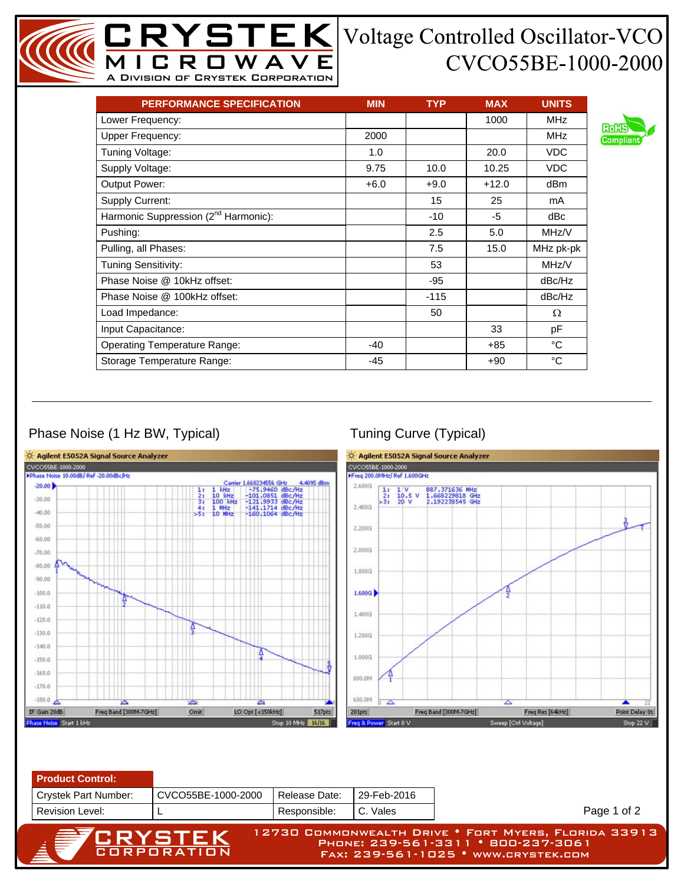## CVCO55BE-1000-2000

| <b>PERFORMANCE SPECIFICATION</b>                 | <b>MIN</b> | <b>TYP</b> | <b>MAX</b> | <b>UNITS</b> |
|--------------------------------------------------|------------|------------|------------|--------------|
| Lower Frequency:                                 |            |            | 1000       | <b>MHz</b>   |
| <b>Upper Frequency:</b>                          | 2000       |            |            | <b>MHz</b>   |
| Tuning Voltage:                                  | 1.0        |            | 20.0       | <b>VDC</b>   |
| Supply Voltage:                                  | 9.75       | 10.0       | 10.25      | <b>VDC</b>   |
| Output Power:                                    | $+6.0$     | $+9.0$     | $+12.0$    | dBm          |
| Supply Current:                                  |            | 15         | 25         | mA           |
| Harmonic Suppression (2 <sup>nd</sup> Harmonic): |            | $-10$      | -5         | dBc          |
| Pushing:                                         |            | 2.5        | 5.0        | MHz/V        |
| Pulling, all Phases:                             |            | 7.5        | 15.0       | MHz pk-pk    |
| Tuning Sensitivity:                              |            | 53         |            | MHz/V        |
| Phase Noise @ 10kHz offset:                      |            | $-95$      |            | dBc/Hz       |
| Phase Noise @ 100kHz offset:                     |            | $-115$     |            | dBc/Hz       |
| Load Impedance:                                  |            | 50         |            | Ω            |
| Input Capacitance:                               |            |            | 33         | рF           |
| <b>Operating Temperature Range:</b>              | $-40$      |            | +85        | °C           |
| Storage Temperature Range:                       | -45        |            | $+90$      | °C           |

MICROWAVE A Division of Crystek Corporation

## Phase Noise (1 Hz BW, Typical) Tuning Curve (Typical)

Revision Level:



L Responsible: C. Vales

| <sup>7</sup> CRYSTEK | 12730 COMMONWEALTH DRIVE • FORT MYERS, FLORIDA 33913 ) |
|----------------------|--------------------------------------------------------|
| CORPORATION          | PHONE: 239-561-3311 • 800-237-3061                     |
|                      | FAX: 239-561-1025 • www.crystek.com                    |

Page 1 of 2